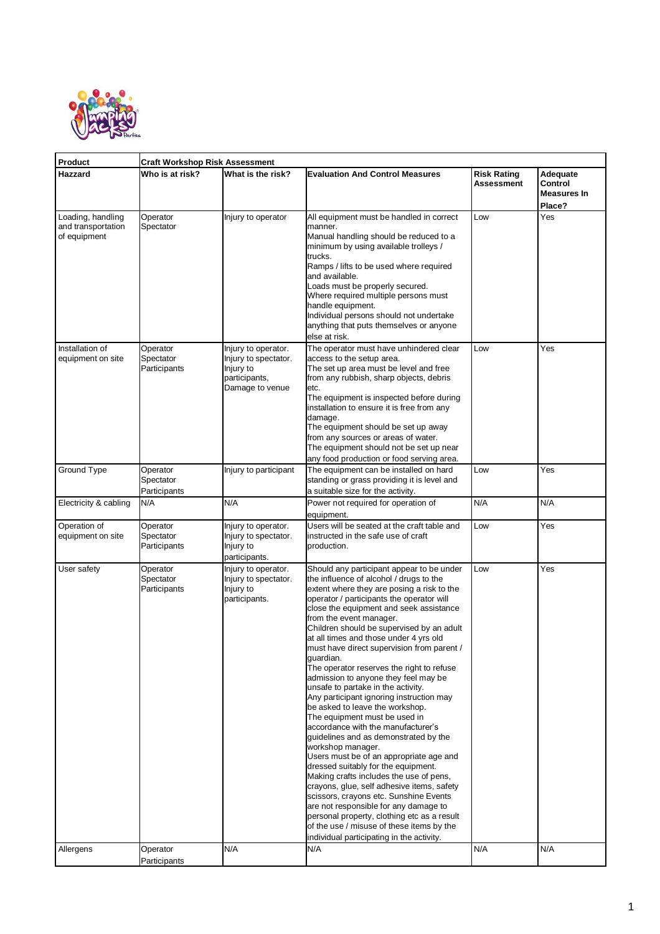

| Product                                                 | <b>Craft Workshop Risk Assessment</b> |                                                                                              |                                                                                                                                                                                                                                                                                                                                                                                                                                                                                                                                                                                                                                                                                                                                                                                                                                                                                                                                                                                                                                                                                                                                                               |                                  |                                                     |  |  |
|---------------------------------------------------------|---------------------------------------|----------------------------------------------------------------------------------------------|---------------------------------------------------------------------------------------------------------------------------------------------------------------------------------------------------------------------------------------------------------------------------------------------------------------------------------------------------------------------------------------------------------------------------------------------------------------------------------------------------------------------------------------------------------------------------------------------------------------------------------------------------------------------------------------------------------------------------------------------------------------------------------------------------------------------------------------------------------------------------------------------------------------------------------------------------------------------------------------------------------------------------------------------------------------------------------------------------------------------------------------------------------------|----------------------------------|-----------------------------------------------------|--|--|
| Hazzard                                                 | Who is at risk?                       | What is the risk?                                                                            | <b>Evaluation And Control Measures</b>                                                                                                                                                                                                                                                                                                                                                                                                                                                                                                                                                                                                                                                                                                                                                                                                                                                                                                                                                                                                                                                                                                                        | <b>Risk Rating</b><br>Assessment | Adequate<br>Control<br><b>Measures In</b><br>Place? |  |  |
| Loading, handling<br>and transportation<br>of equipment | Operator<br>Spectator                 | Injury to operator                                                                           | All equipment must be handled in correct<br>manner.<br>Manual handling should be reduced to a<br>minimum by using available trolleys /<br>trucks.<br>Ramps / lifts to be used where required<br>and available.<br>Loads must be properly secured.<br>Where required multiple persons must<br>handle equipment.<br>Individual persons should not undertake<br>anything that puts themselves or anyone<br>else at risk.                                                                                                                                                                                                                                                                                                                                                                                                                                                                                                                                                                                                                                                                                                                                         | Low                              | Yes                                                 |  |  |
| Installation of<br>equipment on site                    | Operator<br>Spectator<br>Participants | Injury to operator.<br>Injury to spectator.<br>Injury to<br>participants,<br>Damage to venue | The operator must have unhindered clear<br>access to the setup area.<br>The set up area must be level and free<br>from any rubbish, sharp objects, debris<br>etc.<br>The equipment is inspected before during<br>installation to ensure it is free from any<br>damage.<br>The equipment should be set up away<br>from any sources or areas of water.<br>The equipment should not be set up near<br>any food production or food serving area.                                                                                                                                                                                                                                                                                                                                                                                                                                                                                                                                                                                                                                                                                                                  | Low                              | Yes                                                 |  |  |
| Ground Type                                             | Operator<br>Spectator<br>Participants | Injury to participant                                                                        | The equipment can be installed on hard<br>standing or grass providing it is level and<br>a suitable size for the activity.                                                                                                                                                                                                                                                                                                                                                                                                                                                                                                                                                                                                                                                                                                                                                                                                                                                                                                                                                                                                                                    | Low                              | Yes                                                 |  |  |
| Electricity & cabling                                   | N/A                                   | N/A                                                                                          | Power not required for operation of<br>equipment.                                                                                                                                                                                                                                                                                                                                                                                                                                                                                                                                                                                                                                                                                                                                                                                                                                                                                                                                                                                                                                                                                                             | N/A                              | N/A                                                 |  |  |
| Operation of<br>equipment on site                       | Operator<br>Spectator<br>Participants | Injury to operator.<br>Injury to spectator.<br>Injury to<br>participants.                    | Users will be seated at the craft table and<br>instructed in the safe use of craft<br>production.                                                                                                                                                                                                                                                                                                                                                                                                                                                                                                                                                                                                                                                                                                                                                                                                                                                                                                                                                                                                                                                             | Low                              | Yes                                                 |  |  |
| User safety                                             | Operator<br>Spectator<br>Participants | Injury to operator.<br>Injury to spectator.<br>Injury to<br>participants.                    | Should any participant appear to be under<br>the influence of alcohol / drugs to the<br>extent where they are posing a risk to the<br>operator / participants the operator will<br>close the equipment and seek assistance<br>from the event manager.<br>Children should be supervised by an adult<br>at all times and those under 4 yrs old<br>must have direct supervision from parent /<br>guardian.<br>The operator reserves the right to refuse<br>admission to anyone they feel may be<br>unsafe to partake in the activity.<br>Any participant ignoring instruction may<br>be asked to leave the workshop.<br>The equipment must be used in<br>accordance with the manufacturer's<br>guidelines and as demonstrated by the<br>workshop manager.<br>Users must be of an appropriate age and<br>dressed suitably for the equipment.<br>Making crafts includes the use of pens,<br>crayons, glue, self adhesive items, safety<br>scissors, crayons etc. Sunshine Events<br>are not responsible for any damage to<br>personal property, clothing etc as a result<br>of the use / misuse of these items by the<br>individual participating in the activity. | Low                              | Yes                                                 |  |  |
| Allergens                                               | Operator<br>Participants              | N/A                                                                                          | N/A                                                                                                                                                                                                                                                                                                                                                                                                                                                                                                                                                                                                                                                                                                                                                                                                                                                                                                                                                                                                                                                                                                                                                           | N/A                              | N/A                                                 |  |  |